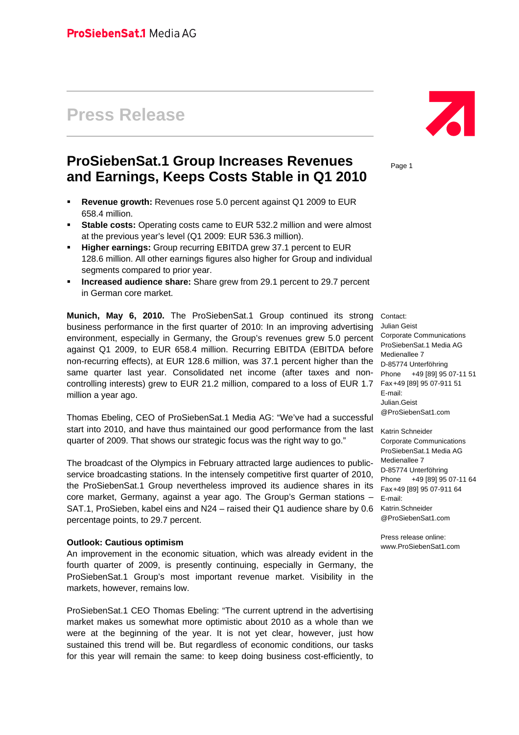# **Press Release**

# **ProSiebenSat.1 Group Increases Revenues and Earnings, Keeps Costs Stable in Q1 2010**

- **Revenue growth: Revenues rose 5.0 percent against Q1 2009 to EUR** 658.4 million.
- **Stable costs:** Operating costs came to EUR 532.2 million and were almost at the previous year's level (Q1 2009: EUR 536.3 million).
- **Higher earnings:** Group recurring EBITDA grew 37.1 percent to EUR 128.6 million. All other earnings figures also higher for Group and individual segments compared to prior year.
- **Increased audience share:** Share grew from 29.1 percent to 29.7 percent in German core market.

**Munich, May 6, 2010.** The ProSiebenSat.1 Group continued its strong Contact: business performance in the first quarter of 2010: In an improving advertising environment, especially in Germany, the Group's revenues grew 5.0 percent against Q1 2009, to EUR 658.4 million. Recurring EBITDA (EBITDA before non-recurring effects), at EUR 128.6 million, was 37.1 percent higher than the same quarter last year. Consolidated net income (after taxes and noncontrolling interests) grew to EUR 21.2 million, compared to a loss of EUR 1.7 million a year ago.

Thomas Ebeling, CEO of ProSiebenSat.1 Media AG: "We've had a successful start into 2010, and have thus maintained our good performance from the last quarter of 2009. That shows our strategic focus was the right way to go."

The broadcast of the Olympics in February attracted large audiences to publicservice broadcasting stations. In the intensely competitive first quarter of 2010, the ProSiebenSat.1 Group nevertheless improved its audience shares in its core market, Germany, against a year ago. The Group's German stations – SAT.1, ProSieben, kabel eins and N24 – raised their Q1 audience share by 0.6 percentage points, to 29.7 percent.

#### **Outlook: Cautious optimism**

An improvement in the economic situation, which was already evident in the fourth quarter of 2009, is presently continuing, especially in Germany, the ProSiebenSat.1 Group's most important revenue market. Visibility in the markets, however, remains low.

ProSiebenSat.1 CEO Thomas Ebeling: "The current uptrend in the advertising market makes us somewhat more optimistic about 2010 as a whole than we were at the beginning of the year. It is not yet clear, however, just how sustained this trend will be. But regardless of economic conditions, our tasks for this year will remain the same: to keep doing business cost-efficiently, to



Page 1

Julian Geist Corporate Communications ProSiebenSat.1 Media AG Medienallee 7 D-85774 Unterföhring Phone +49 [89] 95 07-11 51 Fax +49 [89] 95 07-911 51 E-mail: Julian.Geist @ProSiebenSat1.com

Katrin Schneider Corporate Communications ProSiebenSat.1 Media AG Medienallee 7 D-85774 Unterföhring Phone +49 [89] 95 07-11 64 Fax +49 [89] 95 07-911 64 E-mail: Katrin.Schneider @ProSiebenSat1.com

Press release online: www.ProSiebenSat1.com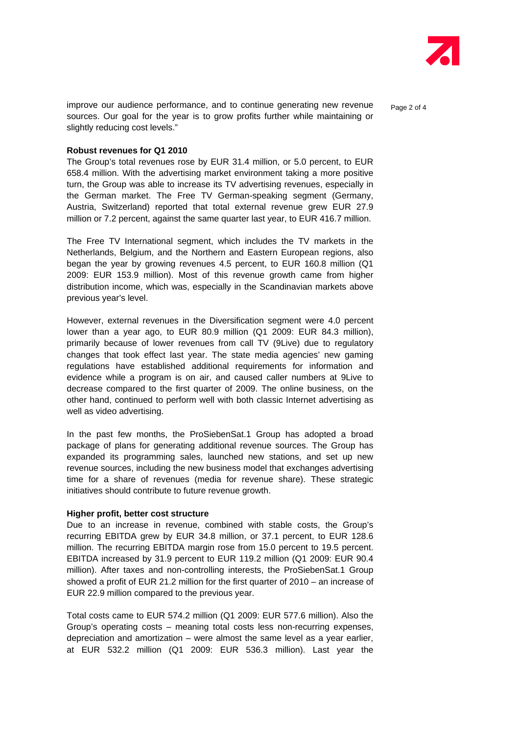

improve our audience performance, and to continue generating new revenue  $_{\text{Page 2 of 4}}$ sources. Our goal for the year is to grow profits further while maintaining or slightly reducing cost levels."

#### **Robust revenues for Q1 2010**

The Group's total revenues rose by EUR 31.4 million, or 5.0 percent, to EUR 658.4 million. With the advertising market environment taking a more positive turn, the Group was able to increase its TV advertising revenues, especially in the German market. The Free TV German-speaking segment (Germany, Austria, Switzerland) reported that total external revenue grew EUR 27.9 million or 7.2 percent, against the same quarter last year, to EUR 416.7 million.

The Free TV International segment, which includes the TV markets in the Netherlands, Belgium, and the Northern and Eastern European regions, also began the year by growing revenues 4.5 percent, to EUR 160.8 million (Q1 2009: EUR 153.9 million). Most of this revenue growth came from higher distribution income, which was, especially in the Scandinavian markets above previous year's level.

However, external revenues in the Diversification segment were 4.0 percent lower than a year ago, to EUR 80.9 million (Q1 2009: EUR 84.3 million), primarily because of lower revenues from call TV (9Live) due to regulatory changes that took effect last year. The state media agencies' new gaming regulations have established additional requirements for information and evidence while a program is on air, and caused caller numbers at 9Live to decrease compared to the first quarter of 2009. The online business, on the other hand, continued to perform well with both classic Internet advertising as well as video advertising.

In the past few months, the ProSiebenSat.1 Group has adopted a broad package of plans for generating additional revenue sources. The Group has expanded its programming sales, launched new stations, and set up new revenue sources, including the new business model that exchanges advertising time for a share of revenues (media for revenue share). These strategic initiatives should contribute to future revenue growth.

#### **Higher profit, better cost structure**

Due to an increase in revenue, combined with stable costs, the Group's recurring EBITDA grew by EUR 34.8 million, or 37.1 percent, to EUR 128.6 million. The recurring EBITDA margin rose from 15.0 percent to 19.5 percent. EBITDA increased by 31.9 percent to EUR 119.2 million (Q1 2009: EUR 90.4 million). After taxes and non-controlling interests, the ProSiebenSat.1 Group showed a profit of EUR 21.2 million for the first quarter of 2010 – an increase of EUR 22.9 million compared to the previous year.

Total costs came to EUR 574.2 million (Q1 2009: EUR 577.6 million). Also the Group's operating costs – meaning total costs less non-recurring expenses, depreciation and amortization – were almost the same level as a year earlier, at EUR 532.2 million (Q1 2009: EUR 536.3 million). Last year the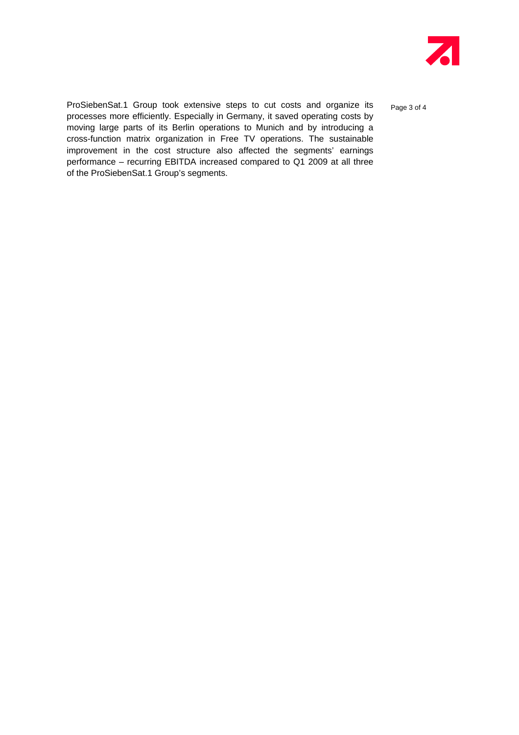

ProSiebenSat.1 Group took extensive steps to cut costs and organize its page 3 of 4 processes more efficiently. Especially in Germany, it saved operating costs by moving large parts of its Berlin operations to Munich and by introducing a cross-function matrix organization in Free TV operations. The sustainable improvement in the cost structure also affected the segments' earnings performance – recurring EBITDA increased compared to Q1 2009 at all three of the ProSiebenSat.1 Group's segments.